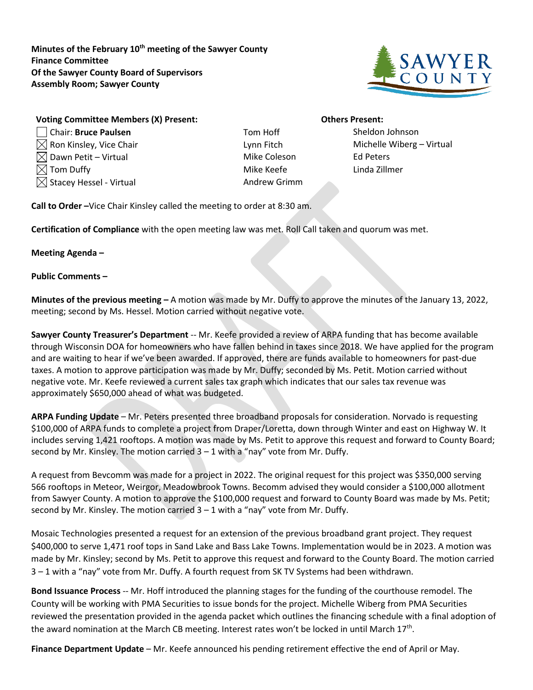**Minutes of the February 10th meeting of the Sawyer County Finance Committee Of the Sawyer County Board of Supervisors Assembly Room; Sawyer County**



## **Voting Committee Members (X) Present: Others Present:** Chair: **Bruce Paulsen** Tom Hoff Sheldon Johnson  $\boxtimes$  Ron Kinsley, Vice Chair  $\blacksquare$  Lynn Fitch Michelle Wiberg – Virtual  $\boxtimes$  Dawn Petit – Virtual  $\boxtimes$  Mike Coleson Ed Peters

- Tom Duffy **Mike Keefe** Linda Zillmer  $\boxtimes$  Stacey Hessel - Virtual Andrew Grimm
- 

**Call to Order –**Vice Chair Kinsley called the meeting to order at 8:30 am.

**Certification of Compliance** with the open meeting law was met. Roll Call taken and quorum was met.

### **Meeting Agenda –**

### **Public Comments –**

**Minutes of the previous meeting –** A motion was made by Mr. Duffy to approve the minutes of the January 13, 2022, meeting; second by Ms. Hessel. Motion carried without negative vote.

**Sawyer County Treasurer's Department** -- Mr. Keefe provided a review of ARPA funding that has become available through Wisconsin DOA for homeowners who have fallen behind in taxes since 2018. We have applied for the program and are waiting to hear if we've been awarded. If approved, there are funds available to homeowners for past-due taxes. A motion to approve participation was made by Mr. Duffy; seconded by Ms. Petit. Motion carried without negative vote. Mr. Keefe reviewed a current sales tax graph which indicates that our sales tax revenue was approximately \$650,000 ahead of what was budgeted.

**ARPA Funding Update** – Mr. Peters presented three broadband proposals for consideration. Norvado is requesting \$100,000 of ARPA funds to complete a project from Draper/Loretta, down through Winter and east on Highway W. It includes serving 1,421 rooftops. A motion was made by Ms. Petit to approve this request and forward to County Board; second by Mr. Kinsley. The motion carried  $3 - 1$  with a "nay" vote from Mr. Duffy.

A request from Bevcomm was made for a project in 2022. The original request for this project was \$350,000 serving 566 rooftops in Meteor, Weirgor, Meadowbrook Towns. Becomm advised they would consider a \$100,000 allotment from Sawyer County. A motion to approve the \$100,000 request and forward to County Board was made by Ms. Petit; second by Mr. Kinsley. The motion carried  $3 - 1$  with a "nay" vote from Mr. Duffy.

Mosaic Technologies presented a request for an extension of the previous broadband grant project. They request \$400,000 to serve 1,471 roof tops in Sand Lake and Bass Lake Towns. Implementation would be in 2023. A motion was made by Mr. Kinsley; second by Ms. Petit to approve this request and forward to the County Board. The motion carried 3 – 1 with a "nay" vote from Mr. Duffy. A fourth request from SK TV Systems had been withdrawn.

**Bond Issuance Process** -- Mr. Hoff introduced the planning stages for the funding of the courthouse remodel. The County will be working with PMA Securities to issue bonds for the project. Michelle Wiberg from PMA Securities reviewed the presentation provided in the agenda packet which outlines the financing schedule with a final adoption of the award nomination at the March CB meeting. Interest rates won't be locked in until March 17th.

**Finance Department Update** – Mr. Keefe announced his pending retirement effective the end of April or May.